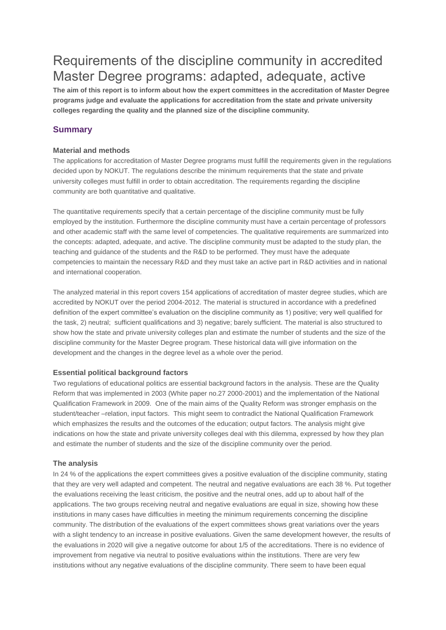# Requirements of the discipline community in accredited Master Degree programs: adapted, adequate, active

**The aim of this report is to inform about how the expert committees in the accreditation of Master Degree programs judge and evaluate the applications for accreditation from the state and private university colleges regarding the quality and the planned size of the discipline community.**

## **Summary**

#### **Material and methods**

The applications for accreditation of Master Degree programs must fulfill the requirements given in the regulations decided upon by NOKUT. The regulations describe the minimum requirements that the state and private university colleges must fulfill in order to obtain accreditation. The requirements regarding the discipline community are both quantitative and qualitative.

The quantitative requirements specify that a certain percentage of the discipline community must be fully employed by the institution. Furthermore the discipline community must have a certain percentage of professors and other academic staff with the same level of competencies. The qualitative requirements are summarized into the concepts: adapted, adequate, and active. The discipline community must be adapted to the study plan, the teaching and guidance of the students and the R&D to be performed. They must have the adequate competencies to maintain the necessary R&D and they must take an active part in R&D activities and in national and international cooperation.

The analyzed material in this report covers 154 applications of accreditation of master degree studies, which are accredited by NOKUT over the period 2004-2012. The material is structured in accordance with a predefined definition of the expert committee's evaluation on the discipline community as 1) positive; very well qualified for the task, 2) neutral; sufficient qualifications and 3) negative; barely sufficient. The material is also structured to show how the state and private university colleges plan and estimate the number of students and the size of the discipline community for the Master Degree program. These historical data will give information on the development and the changes in the degree level as a whole over the period.

#### **Essential political background factors**

Two regulations of educational politics are essential background factors in the analysis. These are the Quality Reform that was implemented in 2003 (White paper no.27 2000-2001) and the implementation of the National Qualification Framework in 2009. One of the main aims of the Quality Reform was stronger emphasis on the student/teacher –relation, input factors. This might seem to contradict the National Qualification Framework which emphasizes the results and the outcomes of the education; output factors. The analysis might give indications on how the state and private university colleges deal with this dilemma, expressed by how they plan and estimate the number of students and the size of the discipline community over the period.

#### **The analysis**

In 24 % of the applications the expert committees gives a positive evaluation of the discipline community, stating that they are very well adapted and competent. The neutral and negative evaluations are each 38 %. Put together the evaluations receiving the least criticism, the positive and the neutral ones, add up to about half of the applications. The two groups receiving neutral and negative evaluations are equal in size, showing how these institutions in many cases have difficulties in meeting the minimum requirements concerning the discipline community. The distribution of the evaluations of the expert committees shows great variations over the years with a slight tendency to an increase in positive evaluations. Given the same development however, the results of the evaluations in 2020 will give a negative outcome for about 1/5 of the accreditations. There is no evidence of improvement from negative via neutral to positive evaluations within the institutions. There are very few institutions without any negative evaluations of the discipline community. There seem to have been equal